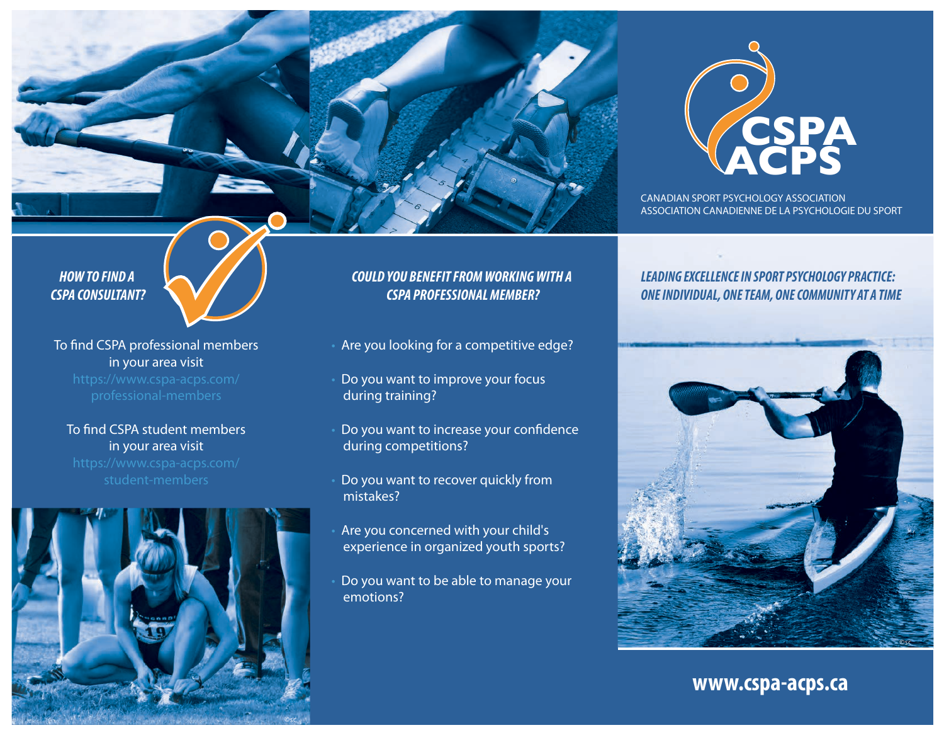

CANADIAN SPORT PSYCHOLOGY ASSOCIATION ASSOCIATION CANADIENNE DE LA PSYCHOLOGIE DU SPORT

### *LEADING EXCELLENCE IN SPORT PSYCHOLOGY PRACTICE: ONE INDIVIDUAL, ONE TEAM, ONE COMMUNITY AT A TIME*



**www.cspa-acps.ca**

*HOW TO FIND A CSPA CONSULTANT?*



To find CSPA professional members in your area visit

### To find CSPA student members in your area visit



## *COULD YOU BENEFIT FROM WORKING WITH A CSPA PROFESSIONAL MEMBER?*

- Are you looking for a competitive edge?
- Do you want to improve your focus during training?
- Do you want to increase your confidence during competitions?
- Do you want to recover quickly from mistakes?
- Are you concerned with your child's experience in organized youth sports?
- Do you want to be able to manage your emotions?